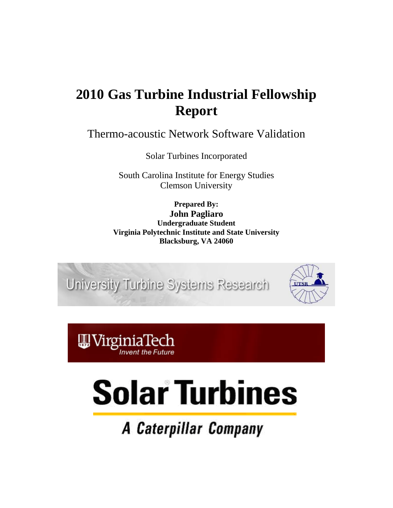# **2010 Gas Turbine Industrial Fellowship Report**

Thermo-acoustic Network Software Validation

Solar Turbines Incorporated

South Carolina Institute for Energy Studies Clemson University

**Prepared By: John Pagliaro Undergraduate Student Virginia Polytechnic Institute and State University Blacksburg, VA 24060**

University Turbine Systems Research



nvent the Future

# **Solar Turbines**

A Caterpillar Company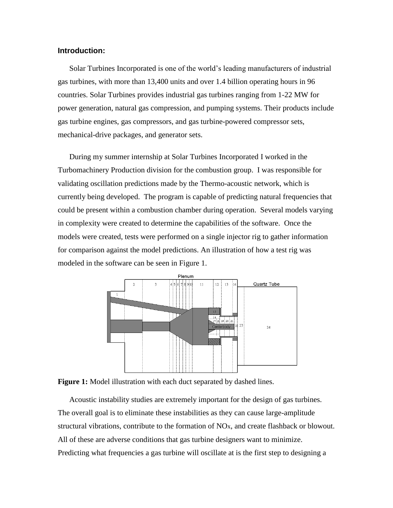### **Introduction:**

Solar Turbines Incorporated is one of the world's leading manufacturers of industrial gas turbines, with more than 13,400 units and over 1.4 billion operating hours in 96 countries. Solar Turbines provides industrial gas turbines ranging from 1-22 MW for power generation, natural gas compression, and pumping systems. Their products include gas turbine engines, gas compressors, and gas turbine-powered compressor sets, mechanical-drive packages, and generator sets.

During my summer internship at Solar Turbines Incorporated I worked in the Turbomachinery Production division for the combustion group. I was responsible for validating oscillation predictions made by the Thermo-acoustic network, which is currently being developed. The program is capable of predicting natural frequencies that could be present within a combustion chamber during operation. Several models varying in complexity were created to determine the capabilities of the software. Once the models were created, tests were performed on a single injector rig to gather information for comparison against the model predictions. An illustration of how a test rig was modeled in the software can be seen in Figure 1.





Acoustic instability studies are extremely important for the design of gas turbines. The overall goal is to eliminate these instabilities as they can cause large-amplitude structural vibrations, contribute to the formation of NOx, and create flashback or blowout. All of these are adverse conditions that gas turbine designers want to minimize. Predicting what frequencies a gas turbine will oscillate at is the first step to designing a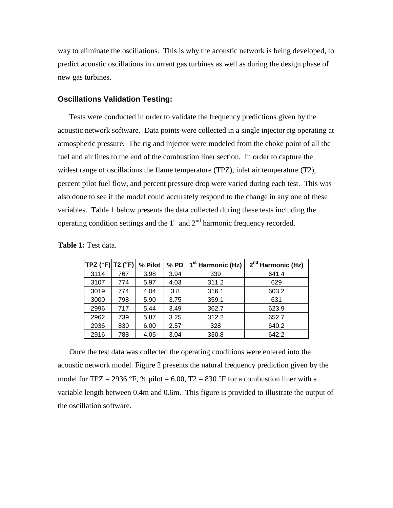way to eliminate the oscillations. This is why the acoustic network is being developed, to predict acoustic oscillations in current gas turbines as well as during the design phase of new gas turbines.

#### **Oscillations Validation Testing:**

Tests were conducted in order to validate the frequency predictions given by the acoustic network software. Data points were collected in a single injector rig operating at atmospheric pressure. The rig and injector were modeled from the choke point of all the fuel and air lines to the end of the combustion liner section. In order to capture the widest range of oscillations the flame temperature (TPZ), inlet air temperature (T2), percent pilot fuel flow, and percent pressure drop were varied during each test. This was also done to see if the model could accurately respond to the change in any one of these variables. Table 1 below presents the data collected during these tests including the operating condition settings and the  $1<sup>st</sup>$  and  $2<sup>nd</sup>$  harmonic frequency recorded.

| TPZ ( $^{\circ}$ F) T2 ( $^{\circ}$ F) $\vert$ |     | % Pilot | $%$ PD | 1 <sup>st</sup> Harmonic (Hz) | 2 <sup>nd</sup> Harmonic (Hz) |
|------------------------------------------------|-----|---------|--------|-------------------------------|-------------------------------|
| 3114                                           | 767 | 3.98    | 3.94   | 339                           | 641.4                         |
| 3107                                           | 774 | 5.97    | 4.03   | 311.2                         | 629                           |
| 3019                                           | 774 | 4.04    | 3.8    | 316.1                         | 603.2                         |
| 3000                                           | 798 | 5.90    | 3.75   | 359.1                         | 631                           |
| 2996                                           | 717 | 5.44    | 3.49   | 362.7                         | 623.9                         |
| 2962                                           | 739 | 5.87    | 3.25   | 312.2                         | 652.7                         |
| 2936                                           | 830 | 6.00    | 2.57   | 328                           | 640.2                         |
| 2916                                           | 788 | 4.05    | 3.04   | 330.8                         | 642.2                         |

**Table 1:** Test data.

Once the test data was collected the operating conditions were entered into the acoustic network model. Figure 2 presents the natural frequency prediction given by the model for TPZ = 2936 °F, % pilot = 6.00, T2 = 830 °F for a combustion liner with a variable length between 0.4m and 0.6m. This figure is provided to illustrate the output of the oscillation software.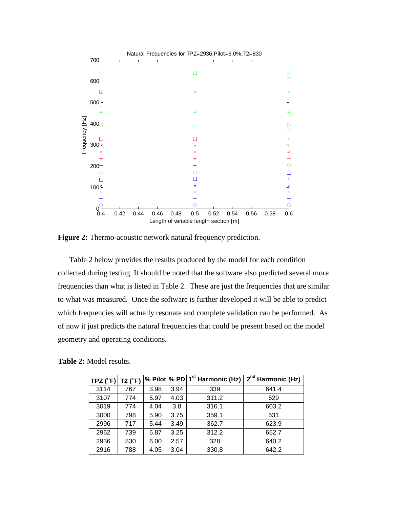

**Figure 2:** Thermo-acoustic network natural frequency prediction.

Table 2 below provides the results produced by the model for each condition collected during testing. It should be noted that the software also predicted several more frequencies than what is listed in Table 2. These are just the frequencies that are similar to what was measured. Once the software is further developed it will be able to predict which frequencies will actually resonate and complete validation can be performed. As of now it just predicts the natural frequencies that could be present based on the model geometry and operating conditions.

| TPZ ( $^{\circ}$ F) | T2 $(^{\circ}F)$ |      |      | % Pilot % PD 1 <sup>st</sup> Harmonic (Hz) | $2^{nd}$ Harmonic (Hz) |
|---------------------|------------------|------|------|--------------------------------------------|------------------------|
| 3114                | 767              | 3.98 | 3.94 | 339                                        | 641.4                  |
| 3107                | 774              | 5.97 | 4.03 | 311.2                                      | 629                    |
| 3019                | 774              | 4.04 | 3.8  | 316.1                                      | 603.2                  |
| 3000                | 798              | 5.90 | 3.75 | 359.1                                      | 631                    |
| 2996                | 717              | 5.44 | 3.49 | 362.7                                      | 623.9                  |
| 2962                | 739              | 5.87 | 3.25 | 312.2                                      | 652.7                  |
| 2936                | 830              | 6.00 | 2.57 | 328                                        | 640.2                  |
| 2916                | 788              | 4.05 | 3.04 | 330.8                                      | 642.2                  |

**Table 2:** Model results.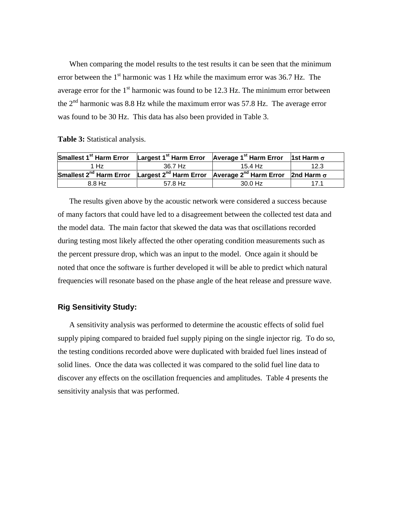When comparing the model results to the test results it can be seen that the minimum error between the  $1<sup>st</sup>$  harmonic was 1 Hz while the maximum error was 36.7 Hz. The average error for the  $1<sup>st</sup>$  harmonic was found to be 12.3 Hz. The minimum error between the  $2<sup>nd</sup>$  harmonic was 8.8 Hz while the maximum error was 57.8 Hz. The average error was found to be 30 Hz. This data has also been provided in Table 3.

**Table 3:** Statistical analysis.

| Smallest 1 <sup>st</sup> Harm Error Largest 1 <sup>st</sup> Harm Error Average 1 <sup>st</sup> Harm Error                   |         |         | 1st Harm $\sigma$ |
|-----------------------------------------------------------------------------------------------------------------------------|---------|---------|-------------------|
| 1 Hz                                                                                                                        | 36.7 Hz | 15.4 Hz | 12.3              |
| Smallest 2 <sup>nd</sup> Harm Error Largest 2 <sup>nd</sup> Harm Error Average 2 <sup>nd</sup> Harm Error 2nd Harm $\sigma$ |         |         |                   |
| 8.8 Hz                                                                                                                      | 57.8 Hz | 30.0 Hz |                   |

The results given above by the acoustic network were considered a success because of many factors that could have led to a disagreement between the collected test data and the model data. The main factor that skewed the data was that oscillations recorded during testing most likely affected the other operating condition measurements such as the percent pressure drop, which was an input to the model. Once again it should be noted that once the software is further developed it will be able to predict which natural frequencies will resonate based on the phase angle of the heat release and pressure wave.

#### **Rig Sensitivity Study:**

A sensitivity analysis was performed to determine the acoustic effects of solid fuel supply piping compared to braided fuel supply piping on the single injector rig. To do so, the testing conditions recorded above were duplicated with braided fuel lines instead of solid lines. Once the data was collected it was compared to the solid fuel line data to discover any effects on the oscillation frequencies and amplitudes. Table 4 presents the sensitivity analysis that was performed.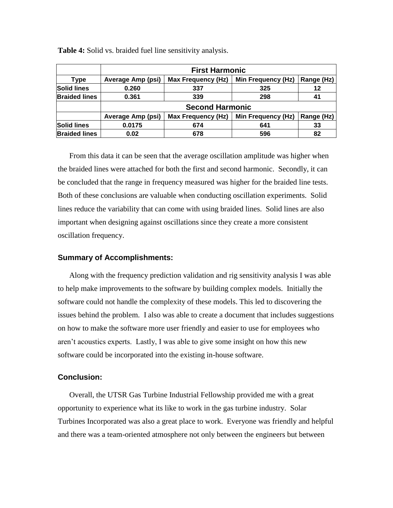|                      | <b>First Harmonic</b>    |                           |                           |            |  |  |  |
|----------------------|--------------------------|---------------------------|---------------------------|------------|--|--|--|
| Type                 | <b>Average Amp (psi)</b> | <b>Max Frequency (Hz)</b> | Min Frequency (Hz)        | Range (Hz) |  |  |  |
| <b>Solid lines</b>   | 0.260                    | 337                       | 325                       | 12         |  |  |  |
| <b>Braided lines</b> | 0.361                    | 339                       | 298                       | 41         |  |  |  |
|                      |                          | <b>Second Harmonic</b>    |                           |            |  |  |  |
|                      | <b>Average Amp (psi)</b> | <b>Max Frequency (Hz)</b> | <b>Min Frequency (Hz)</b> | Range (Hz) |  |  |  |
| <b>Solid lines</b>   | 0.0175                   | 674                       | 641                       | 33         |  |  |  |
| <b>Braided lines</b> | 0.02                     | 678                       | 596                       | 82         |  |  |  |

**Table 4:** Solid vs. braided fuel line sensitivity analysis.

From this data it can be seen that the average oscillation amplitude was higher when the braided lines were attached for both the first and second harmonic. Secondly, it can be concluded that the range in frequency measured was higher for the braided line tests. Both of these conclusions are valuable when conducting oscillation experiments. Solid lines reduce the variability that can come with using braided lines. Solid lines are also important when designing against oscillations since they create a more consistent oscillation frequency.

## **Summary of Accomplishments:**

Along with the frequency prediction validation and rig sensitivity analysis I was able to help make improvements to the software by building complex models. Initially the software could not handle the complexity of these models. This led to discovering the issues behind the problem. I also was able to create a document that includes suggestions on how to make the software more user friendly and easier to use for employees who aren't acoustics experts. Lastly, I was able to give some insight on how this new software could be incorporated into the existing in-house software.

#### **Conclusion:**

Overall, the UTSR Gas Turbine Industrial Fellowship provided me with a great opportunity to experience what its like to work in the gas turbine industry. Solar Turbines Incorporated was also a great place to work. Everyone was friendly and helpful and there was a team-oriented atmosphere not only between the engineers but between